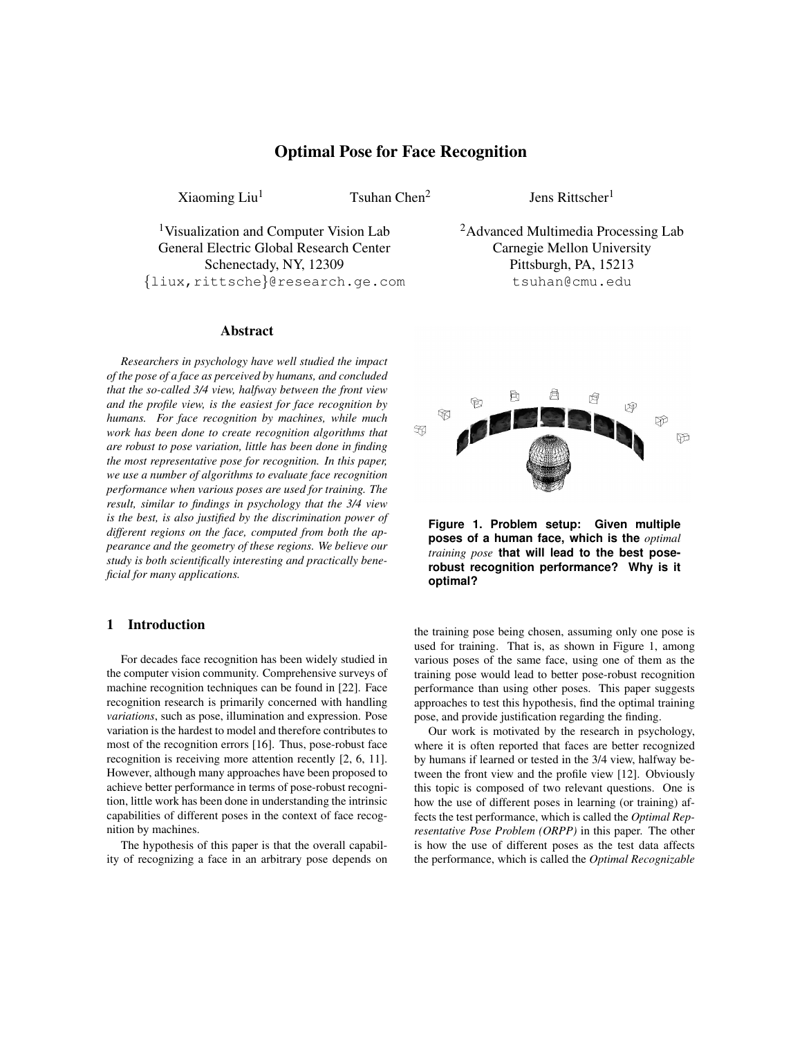# Optimal Pose for Face Recognition

 $Xioming Liu<sup>1</sup>$  Tsuhan Chen<sup>2</sup>

Jens Rittscher<sup>1</sup>

1Visualization and Computer Vision Lab General Electric Global Research Center Schenectady, NY, 12309 {liux,rittsche}@research.ge.com

#### Abstract

*Researchers in psychology have well studied the impact of the pose of a face as perceived by humans, and concluded that the so-called 3/4 view, halfway between the front view and the profile view, is the easiest for face recognition by humans. For face recognition by machines, while much work has been done to create recognition algorithms that are robust to pose variation, little has been done in finding the most representative pose for recognition. In this paper, we use a number of algorithms to evaluate face recognition performance when various poses are used for training. The result, similar to findings in psychology that the 3/4 view is the best, is also justified by the discrimination power of different regions on the face, computed from both the appearance and the geometry of these regions. We believe our study is both scientifically interesting and practically beneficial for many applications.*

#### 1 Introduction

For decades face recognition has been widely studied in the computer vision community. Comprehensive surveys of machine recognition techniques can be found in [22]. Face recognition research is primarily concerned with handling *variations*, such as pose, illumination and expression. Pose variation is the hardest to model and therefore contributes to most of the recognition errors [16]. Thus, pose-robust face recognition is receiving more attention recently [2, 6, 11]. However, although many approaches have been proposed to achieve better performance in terms of pose-robust recognition, little work has been done in understanding the intrinsic capabilities of different poses in the context of face recognition by machines.

The hypothesis of this paper is that the overall capability of recognizing a face in an arbitrary pose depends on <sup>2</sup>Advanced Multimedia Processing Lab Carnegie Mellon University Pittsburgh, PA, 15213 tsuhan@cmu.edu



**Figure 1. Problem setup: Given multiple poses of a human face, which is the** *optimal training pose* **that will lead to the best poserobust recognition performance? Why is it optimal?**

the training pose being chosen, assuming only one pose is used for training. That is, as shown in Figure 1, among various poses of the same face, using one of them as the training pose would lead to better pose-robust recognition performance than using other poses. This paper suggests approaches to test this hypothesis, find the optimal training pose, and provide justification regarding the finding.

Our work is motivated by the research in psychology, where it is often reported that faces are better recognized by humans if learned or tested in the 3/4 view, halfway between the front view and the profile view [12]. Obviously this topic is composed of two relevant questions. One is how the use of different poses in learning (or training) affects the test performance, which is called the *Optimal Representative Pose Problem (ORPP)* in this paper. The other is how the use of different poses as the test data affects the performance, which is called the *Optimal Recognizable*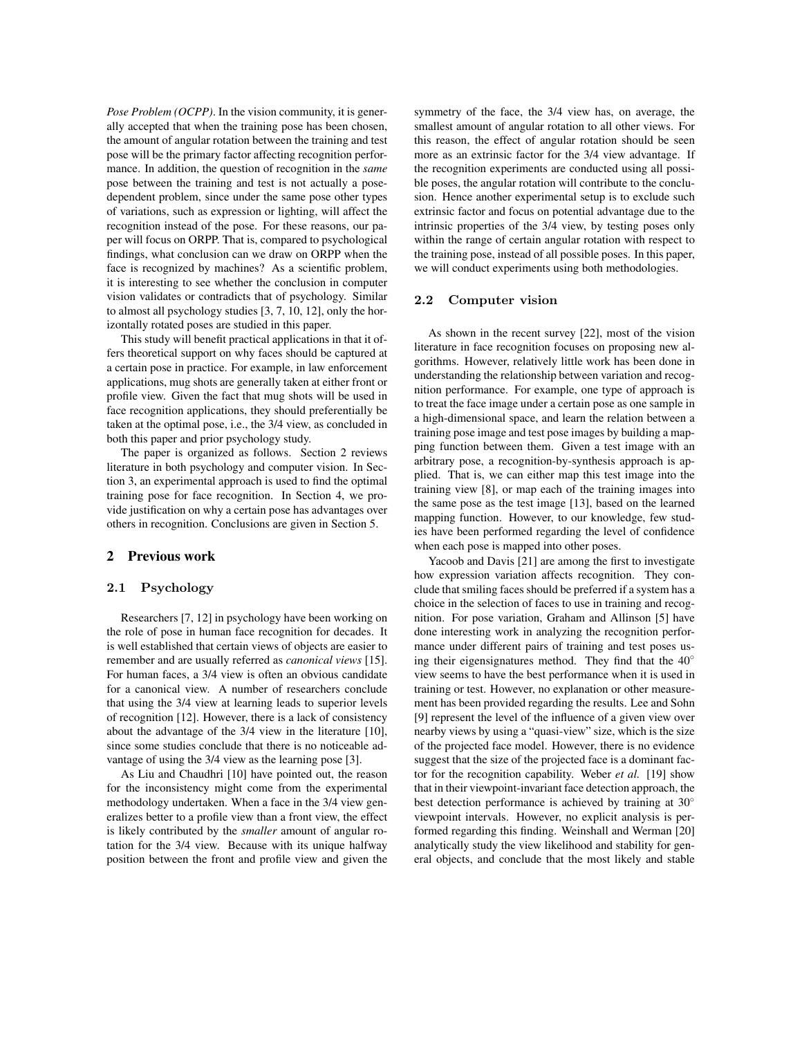*Pose Problem (OCPP)*. In the vision community, it is generally accepted that when the training pose has been chosen, the amount of angular rotation between the training and test pose will be the primary factor affecting recognition performance. In addition, the question of recognition in the *same* pose between the training and test is not actually a posedependent problem, since under the same pose other types of variations, such as expression or lighting, will affect the recognition instead of the pose. For these reasons, our paper will focus on ORPP. That is, compared to psychological findings, what conclusion can we draw on ORPP when the face is recognized by machines? As a scientific problem, it is interesting to see whether the conclusion in computer vision validates or contradicts that of psychology. Similar to almost all psychology studies [3, 7, 10, 12], only the horizontally rotated poses are studied in this paper.

This study will benefit practical applications in that it offers theoretical support on why faces should be captured at a certain pose in practice. For example, in law enforcement applications, mug shots are generally taken at either front or profile view. Given the fact that mug shots will be used in face recognition applications, they should preferentially be taken at the optimal pose, i.e., the 3/4 view, as concluded in both this paper and prior psychology study.

The paper is organized as follows. Section 2 reviews literature in both psychology and computer vision. In Section 3, an experimental approach is used to find the optimal training pose for face recognition. In Section 4, we provide justification on why a certain pose has advantages over others in recognition. Conclusions are given in Section 5.

#### 2 Previous work

### **2.1 Psychology**

Researchers [7, 12] in psychology have been working on the role of pose in human face recognition for decades. It is well established that certain views of objects are easier to remember and are usually referred as *canonical views* [15]. For human faces, a 3/4 view is often an obvious candidate for a canonical view. A number of researchers conclude that using the 3/4 view at learning leads to superior levels of recognition [12]. However, there is a lack of consistency about the advantage of the 3/4 view in the literature [10], since some studies conclude that there is no noticeable advantage of using the 3/4 view as the learning pose [3].

As Liu and Chaudhri [10] have pointed out, the reason for the inconsistency might come from the experimental methodology undertaken. When a face in the 3/4 view generalizes better to a profile view than a front view, the effect is likely contributed by the *smaller* amount of angular rotation for the 3/4 view. Because with its unique halfway position between the front and profile view and given the symmetry of the face, the 3/4 view has, on average, the smallest amount of angular rotation to all other views. For this reason, the effect of angular rotation should be seen more as an extrinsic factor for the 3/4 view advantage. If the recognition experiments are conducted using all possible poses, the angular rotation will contribute to the conclusion. Hence another experimental setup is to exclude such extrinsic factor and focus on potential advantage due to the intrinsic properties of the 3/4 view, by testing poses only within the range of certain angular rotation with respect to the training pose, instead of all possible poses. In this paper, we will conduct experiments using both methodologies.

### **2.2 Computer vision**

As shown in the recent survey [22], most of the vision literature in face recognition focuses on proposing new algorithms. However, relatively little work has been done in understanding the relationship between variation and recognition performance. For example, one type of approach is to treat the face image under a certain pose as one sample in a high-dimensional space, and learn the relation between a training pose image and test pose images by building a mapping function between them. Given a test image with an arbitrary pose, a recognition-by-synthesis approach is applied. That is, we can either map this test image into the training view [8], or map each of the training images into the same pose as the test image [13], based on the learned mapping function. However, to our knowledge, few studies have been performed regarding the level of confidence when each pose is mapped into other poses.

Yacoob and Davis [21] are among the first to investigate how expression variation affects recognition. They conclude that smiling faces should be preferred if a system has a choice in the selection of faces to use in training and recognition. For pose variation, Graham and Allinson [5] have done interesting work in analyzing the recognition performance under different pairs of training and test poses using their eigensignatures method. They find that the  $40^\circ$ view seems to have the best performance when it is used in training or test. However, no explanation or other measurement has been provided regarding the results. Lee and Sohn [9] represent the level of the influence of a given view over nearby views by using a "quasi-view" size, which is the size of the projected face model. However, there is no evidence suggest that the size of the projected face is a dominant factor for the recognition capability. Weber *et al.* [19] show that in their viewpoint-invariant face detection approach, the best detection performance is achieved by training at 30° viewpoint intervals. However, no explicit analysis is performed regarding this finding. Weinshall and Werman [20] analytically study the view likelihood and stability for general objects, and conclude that the most likely and stable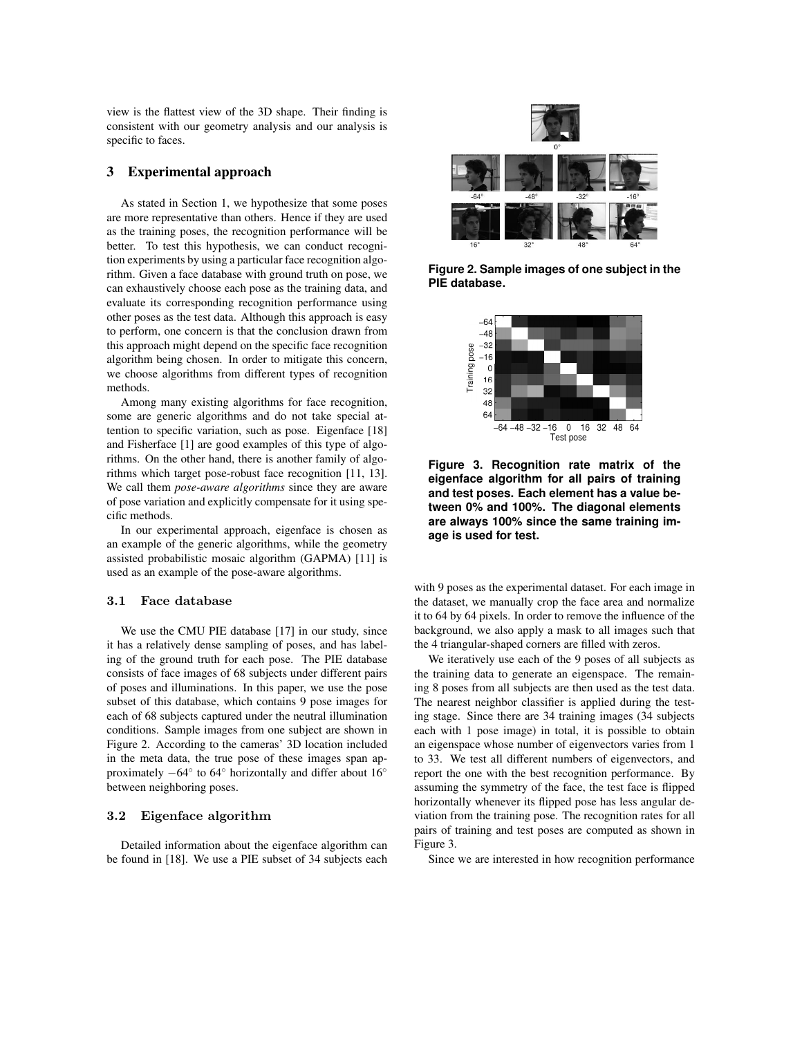view is the flattest view of the 3D shape. Their finding is consistent with our geometry analysis and our analysis is specific to faces.

### 3 Experimental approach

As stated in Section 1, we hypothesize that some poses are more representative than others. Hence if they are used as the training poses, the recognition performance will be better. To test this hypothesis, we can conduct recognition experiments by using a particular face recognition algorithm. Given a face database with ground truth on pose, we can exhaustively choose each pose as the training data, and evaluate its corresponding recognition performance using other poses as the test data. Although this approach is easy to perform, one concern is that the conclusion drawn from this approach might depend on the specific face recognition algorithm being chosen. In order to mitigate this concern, we choose algorithms from different types of recognition methods.

Among many existing algorithms for face recognition, some are generic algorithms and do not take special attention to specific variation, such as pose. Eigenface [18] and Fisherface [1] are good examples of this type of algorithms. On the other hand, there is another family of algorithms which target pose-robust face recognition [11, 13]. We call them *pose-aware algorithms* since they are aware of pose variation and explicitly compensate for it using specific methods.

In our experimental approach, eigenface is chosen as an example of the generic algorithms, while the geometry assisted probabilistic mosaic algorithm (GAPMA) [11] is used as an example of the pose-aware algorithms.

#### **3.1 Face database**

We use the CMU PIE database [17] in our study, since it has a relatively dense sampling of poses, and has labeling of the ground truth for each pose. The PIE database consists of face images of 68 subjects under different pairs of poses and illuminations. In this paper, we use the pose subset of this database, which contains 9 pose images for each of 68 subjects captured under the neutral illumination conditions. Sample images from one subject are shown in Figure 2. According to the cameras' 3D location included in the meta data, the true pose of these images span approximately  $-64°$  to  $64°$  horizontally and differ about  $16°$ between neighboring poses.

### **3.2 Eigenface algorithm**

Detailed information about the eigenface algorithm can be found in [18]. We use a PIE subset of 34 subjects each



**Figure 2. Sample images of one subject in the PIE database.**



**Figure 3. Recognition rate matrix of the eigenface algorithm for all pairs of training and test poses. Each element has a value between 0% and 100%. The diagonal elements are always 100% since the same training image is used for test.**

with 9 poses as the experimental dataset. For each image in the dataset, we manually crop the face area and normalize it to 64 by 64 pixels. In order to remove the influence of the background, we also apply a mask to all images such that the 4 triangular-shaped corners are filled with zeros.

We iteratively use each of the 9 poses of all subjects as the training data to generate an eigenspace. The remaining 8 poses from all subjects are then used as the test data. The nearest neighbor classifier is applied during the testing stage. Since there are 34 training images (34 subjects each with 1 pose image) in total, it is possible to obtain an eigenspace whose number of eigenvectors varies from 1 to 33. We test all different numbers of eigenvectors, and report the one with the best recognition performance. By assuming the symmetry of the face, the test face is flipped horizontally whenever its flipped pose has less angular deviation from the training pose. The recognition rates for all pairs of training and test poses are computed as shown in Figure 3.

Since we are interested in how recognition performance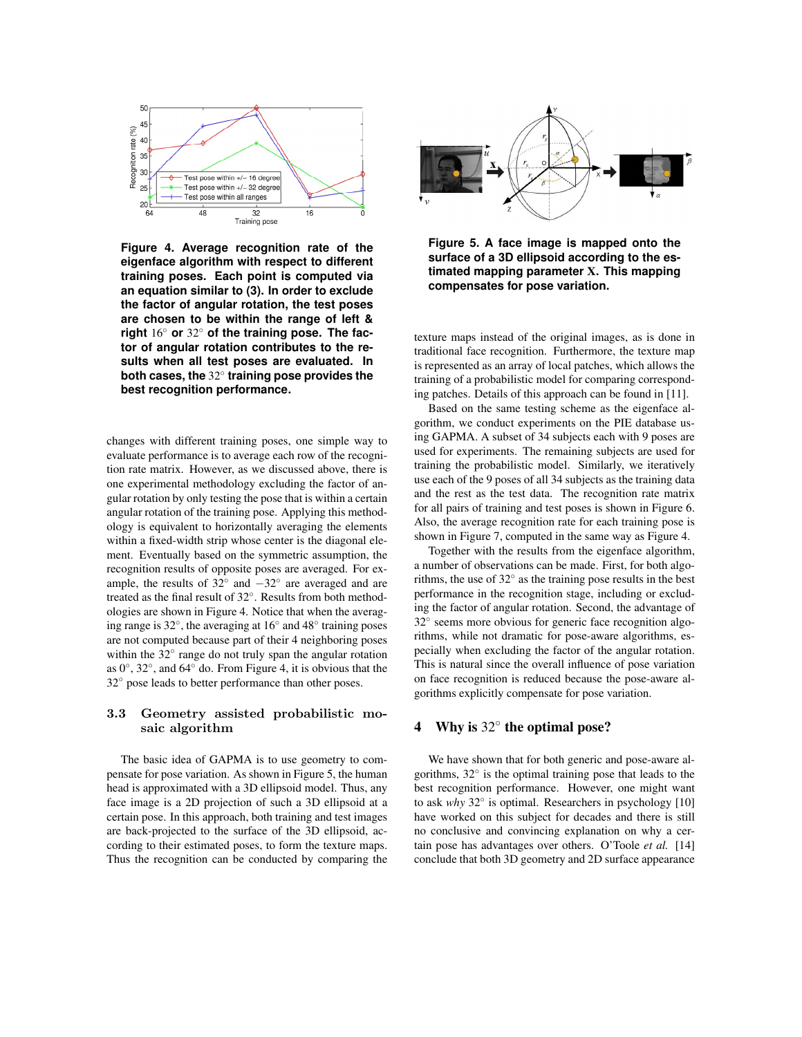

**Figure 4. Average recognition rate of the eigenface algorithm with respect to different training poses. Each point is computed via an equation similar to (3). In order to exclude the factor of angular rotation, the test poses are chosen to be within the range of left & right** 16◦ **or** 32◦ **of the training pose. The factor of angular rotation contributes to the results when all test poses are evaluated. In both cases, the** 32◦ **training pose provides the best recognition performance.**

changes with different training poses, one simple way to evaluate performance is to average each row of the recognition rate matrix. However, as we discussed above, there is one experimental methodology excluding the factor of angular rotation by only testing the pose that is within a certain angular rotation of the training pose. Applying this methodology is equivalent to horizontally averaging the elements within a fixed-width strip whose center is the diagonal element. Eventually based on the symmetric assumption, the recognition results of opposite poses are averaged. For example, the results of  $32°$  and  $-32°$  are averaged and are treated as the final result of 32◦. Results from both methodologies are shown in Figure 4. Notice that when the averaging range is 32◦, the averaging at 16◦ and 48◦ training poses are not computed because part of their 4 neighboring poses within the 32◦ range do not truly span the angular rotation as 0◦, 32◦, and 64◦ do. From Figure 4, it is obvious that the 32◦ pose leads to better performance than other poses.

# **3.3 Geometry assisted probabilistic mosaic algorithm**

The basic idea of GAPMA is to use geometry to compensate for pose variation. As shown in Figure 5, the human head is approximated with a 3D ellipsoid model. Thus, any face image is a 2D projection of such a 3D ellipsoid at a certain pose. In this approach, both training and test images are back-projected to the surface of the 3D ellipsoid, according to their estimated poses, to form the texture maps. Thus the recognition can be conducted by comparing the



**Figure 5. A face image is mapped onto the surface of a 3D ellipsoid according to the estimated mapping parameter** X**. This mapping compensates for pose variation.**

texture maps instead of the original images, as is done in traditional face recognition. Furthermore, the texture map is represented as an array of local patches, which allows the training of a probabilistic model for comparing corresponding patches. Details of this approach can be found in [11].

Based on the same testing scheme as the eigenface algorithm, we conduct experiments on the PIE database using GAPMA. A subset of 34 subjects each with 9 poses are used for experiments. The remaining subjects are used for training the probabilistic model. Similarly, we iteratively use each of the 9 poses of all 34 subjects as the training data and the rest as the test data. The recognition rate matrix for all pairs of training and test poses is shown in Figure 6. Also, the average recognition rate for each training pose is shown in Figure 7, computed in the same way as Figure 4.

Together with the results from the eigenface algorithm, a number of observations can be made. First, for both algorithms, the use of  $32^\circ$  as the training pose results in the best performance in the recognition stage, including or excluding the factor of angular rotation. Second, the advantage of 32◦ seems more obvious for generic face recognition algorithms, while not dramatic for pose-aware algorithms, especially when excluding the factor of the angular rotation. This is natural since the overall influence of pose variation on face recognition is reduced because the pose-aware algorithms explicitly compensate for pose variation.

# 4 Why is 32◦ the optimal pose?

We have shown that for both generic and pose-aware algorithms, 32◦ is the optimal training pose that leads to the best recognition performance. However, one might want to ask *why* 32◦ is optimal. Researchers in psychology [10] have worked on this subject for decades and there is still no conclusive and convincing explanation on why a certain pose has advantages over others. O'Toole *et al.* [14] conclude that both 3D geometry and 2D surface appearance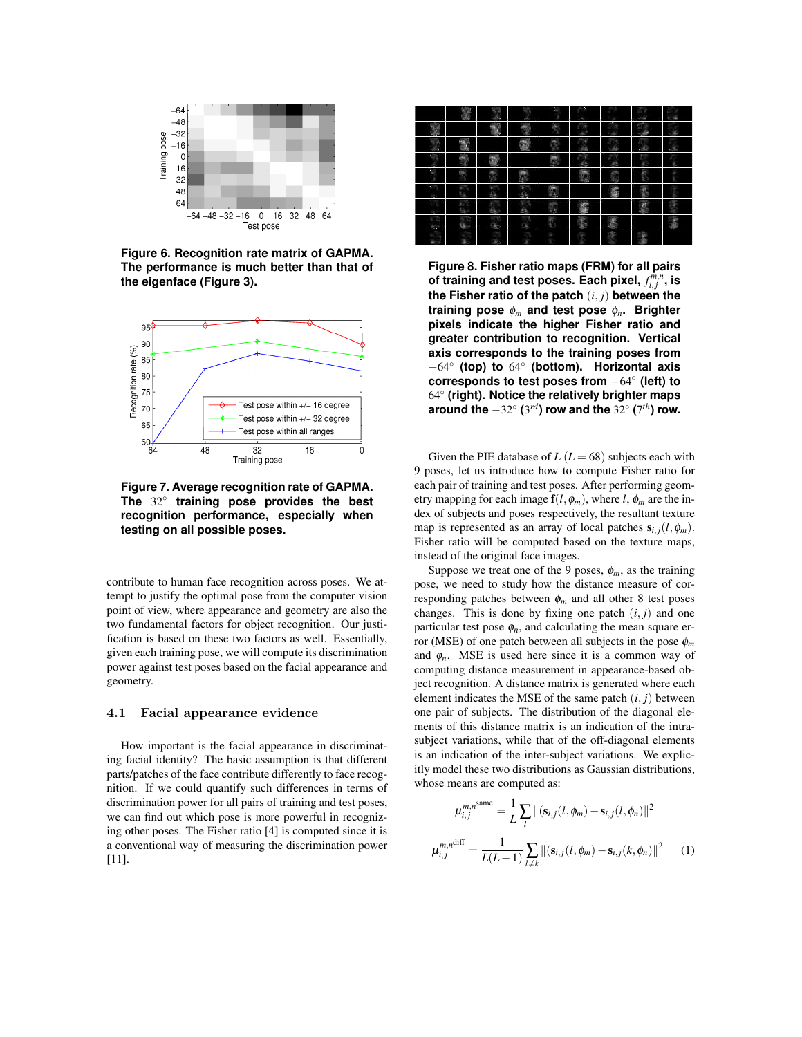

**Figure 6. Recognition rate matrix of GAPMA. The performance is much better than that of the eigenface (Figure 3).**



**Figure 7. Average recognition rate of GAPMA. The** 32◦ **training pose provides the best recognition performance, especially when testing on all possible poses.**

contribute to human face recognition across poses. We attempt to justify the optimal pose from the computer vision point of view, where appearance and geometry are also the two fundamental factors for object recognition. Our justification is based on these two factors as well. Essentially, given each training pose, we will compute its discrimination power against test poses based on the facial appearance and geometry.

### **4.1 Facial appearance evidence**

How important is the facial appearance in discriminating facial identity? The basic assumption is that different parts/patches of the face contribute differently to face recognition. If we could quantify such differences in terms of discrimination power for all pairs of training and test poses, we can find out which pose is more powerful in recognizing other poses. The Fisher ratio [4] is computed since it is a conventional way of measuring the discrimination power [11].

|  |  | ٠ |  |  |
|--|--|---|--|--|
|  |  |   |  |  |
|  |  |   |  |  |
|  |  |   |  |  |
|  |  |   |  |  |
|  |  |   |  |  |
|  |  |   |  |  |
|  |  |   |  |  |
|  |  |   |  |  |

**Figure 8. Fisher ratio maps (FRM) for all pairs of training and test poses. Each pixel,** *f m,n <sup>i</sup>, <sup>j</sup>* **, is the Fisher ratio of the patch** (*i, j*) **between the training pose** φ*<sup>m</sup>* **and test pose** φ*n***. Brighter pixels indicate the higher Fisher ratio and greater contribution to recognition. Vertical axis corresponds to the training poses from** −64◦ **(top) to** 64◦ **(bottom). Horizontal axis corresponds to test poses from** −64◦ **(left) to** 64◦ **(right). Notice the relatively brighter maps around the** −32◦ **(**3*rd***) row and the** 32◦ **(**7*th***) row.**

Given the PIE database of  $L (L = 68)$  subjects each with 9 poses, let us introduce how to compute Fisher ratio for each pair of training and test poses. After performing geometry mapping for each image  $f(l, \phi_m)$ , where *l*,  $\phi_m$  are the index of subjects and poses respectively, the resultant texture map is represented as an array of local patches  $s_{i,j}(l, \phi_m)$ . Fisher ratio will be computed based on the texture maps, instead of the original face images.

Suppose we treat one of the 9 poses,  $\phi_m$ , as the training pose, we need to study how the distance measure of corresponding patches between  $\phi_m$  and all other 8 test poses changes. This is done by fixing one patch  $(i, j)$  and one particular test pose  $\phi_n$ , and calculating the mean square error (MSE) of one patch between all subjects in the pose  $\phi_m$ and  $\phi_n$ . MSE is used here since it is a common way of computing distance measurement in appearance-based object recognition. A distance matrix is generated where each element indicates the MSE of the same patch  $(i, j)$  between one pair of subjects. The distribution of the diagonal elements of this distance matrix is an indication of the intrasubject variations, while that of the off-diagonal elements is an indication of the inter-subject variations. We explicitly model these two distributions as Gaussian distributions, whose means are computed as:

$$
\mu_{i,j}^{m,n^{\text{same}}} = \frac{1}{L} \sum_{l} ||(\mathbf{s}_{i,j}(l, \phi_m) - \mathbf{s}_{i,j}(l, \phi_n)||^2
$$

$$
\mu_{i,j}^{m,n^{\text{diff}}} = \frac{1}{L(L-1)} \sum_{l \neq k} ||(\mathbf{s}_{i,j}(l, \phi_m) - \mathbf{s}_{i,j}(k, \phi_n)||^2 \qquad (1)
$$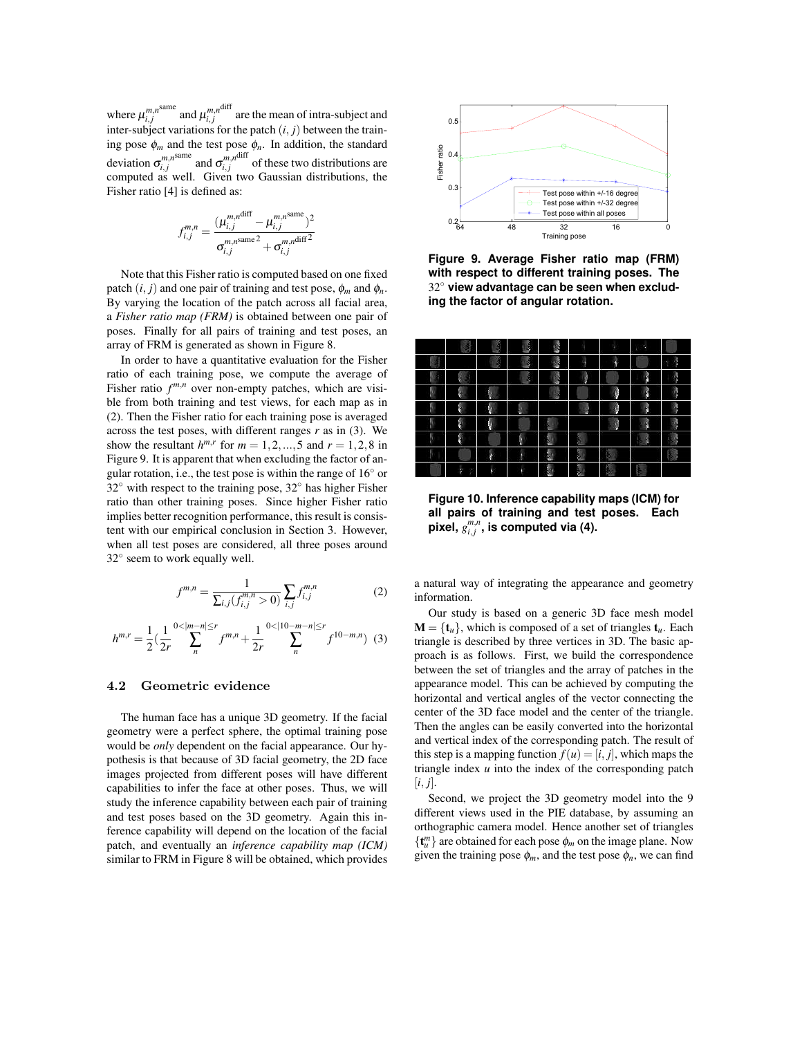where  $\mu_{i,j}^{m,n^{\text{same}}}$  and  $\mu_{i,j}^{m,n^{\text{diff}}}$  are the mean of intra-subject and inter-subject variations for the patch  $(i, j)$  between the training pose  $\phi_m$  and the test pose  $\phi_n$ . In addition, the standard deviation  $\sigma^{m,n^{\text{same}}}_{i,j}$  and  $\sigma^{m,n^{\text{diff}}}_{i,j}$  of these two distributions are computed as well. Given two Gaussian distributions, the Fisher ratio [4] is defined as:

$$
f_{i,j}^{m,n} = \frac{(\mu_{i,j}^{m,n^{\text{diff}}} - \mu_{i,j}^{m,n^{\text{same}}})^2}{\sigma_{i,j}^{m,n^{\text{same}}} + \sigma_{i,j}^{m,n^{\text{diff}}^2}}
$$

Note that this Fisher ratio is computed based on one fixed patch  $(i, j)$  and one pair of training and test pose,  $\phi_m$  and  $\phi_n$ . By varying the location of the patch across all facial area, a *Fisher ratio map (FRM)* is obtained between one pair of poses. Finally for all pairs of training and test poses, an array of FRM is generated as shown in Figure 8.

In order to have a quantitative evaluation for the Fisher ratio of each training pose, we compute the average of Fisher ratio  $f^{m,n}$  over non-empty patches, which are visible from both training and test views, for each map as in (2). Then the Fisher ratio for each training pose is averaged across the test poses, with different ranges *r* as in (3). We show the resultant  $h^{m,r}$  for  $m = 1, 2, ..., 5$  and  $r = 1, 2, 8$  in Figure 9. It is apparent that when excluding the factor of angular rotation, i.e., the test pose is within the range of  $16°$  or 32◦ with respect to the training pose, 32◦ has higher Fisher ratio than other training poses. Since higher Fisher ratio implies better recognition performance, this result is consistent with our empirical conclusion in Section 3. However, when all test poses are considered, all three poses around 32◦ seem to work equally well.

$$
f^{m,n} = \frac{1}{\sum_{i,j}(f_{i,j}^{m,n} > 0)} \sum_{i,j} f_{i,j}^{m,n}
$$
 (2)

$$
h^{m,r} = \frac{1}{2} \left( \frac{1}{2r} \sum_{n=0}^{N-1} \sum_{n=0}^{\lfloor m-n \rfloor \le r} f^{m,n} + \frac{1}{2r} \sum_{n=0}^{N-1} \sum_{n=0}^{\lfloor m-n \rfloor \le r} f^{(10-m,n)} \right)
$$
(3)

### **4.2 Geometric evidence**

The human face has a unique 3D geometry. If the facial geometry were a perfect sphere, the optimal training pose would be *only* dependent on the facial appearance. Our hypothesis is that because of 3D facial geometry, the 2D face images projected from different poses will have different capabilities to infer the face at other poses. Thus, we will study the inference capability between each pair of training and test poses based on the 3D geometry. Again this inference capability will depend on the location of the facial patch, and eventually an *inference capability map (ICM)* similar to FRM in Figure 8 will be obtained, which provides



**Figure 9. Average Fisher ratio map (FRM) with respect to different training poses. The** 32◦ **view advantage can be seen when excluding the factor of angular rotation.**

|   |             | ğ, | ļ      | $\frac{1}{2}$  |               | ٠  | ۹ |             |
|---|-------------|----|--------|----------------|---------------|----|---|-------------|
|   |             | ē  | ķ      |                | ţ             | ţ  |   | ß<br>٠<br>r |
| ٠ |             |    | П      | <b>Section</b> | I             |    | ľ | Ą           |
| ٠ |             | Ņ  |        | J.             |               | ŷ  | ł | Ŋ           |
| ١ | ľ,          | Ŋ  | u<br>т |                | i,            | ĵ  | ľ | л           |
| ۹ |             | ų  |        |                |               | í, | I |             |
|   | ł           |    | Ŋ      | ŧ              | P.            |    | Ņ |             |
|   |             |    | I      | L              | ł             |    |   |             |
|   | ķ<br>٠<br>٠ | Þ  |        | ÷.             | <b>REGIST</b> | ٩  | ŧ |             |

**Figure 10. Inference capability maps (ICM) for all pairs of training and test poses. Each pixel,** *gm,<sup>n</sup> <sup>i</sup>, <sup>j</sup>* **, is computed via (4).**

a natural way of integrating the appearance and geometry information.

Our study is based on a generic 3D face mesh model  $M = \{t_u\}$ , which is composed of a set of triangles  $t_u$ . Each triangle is described by three vertices in 3D. The basic approach is as follows. First, we build the correspondence between the set of triangles and the array of patches in the appearance model. This can be achieved by computing the horizontal and vertical angles of the vector connecting the center of the 3D face model and the center of the triangle. Then the angles can be easily converted into the horizontal and vertical index of the corresponding patch. The result of this step is a mapping function  $f(u) = [i, j]$ , which maps the triangle index *u* into the index of the corresponding patch  $[i, j]$ .

Second, we project the 3D geometry model into the 9 different views used in the PIE database, by assuming an orthographic camera model. Hence another set of triangles  ${\{\mathbf t}_u^m\}$  are obtained for each pose  $\phi_m$  on the image plane. Now given the training pose  $\phi_m$ , and the test pose  $\phi_n$ , we can find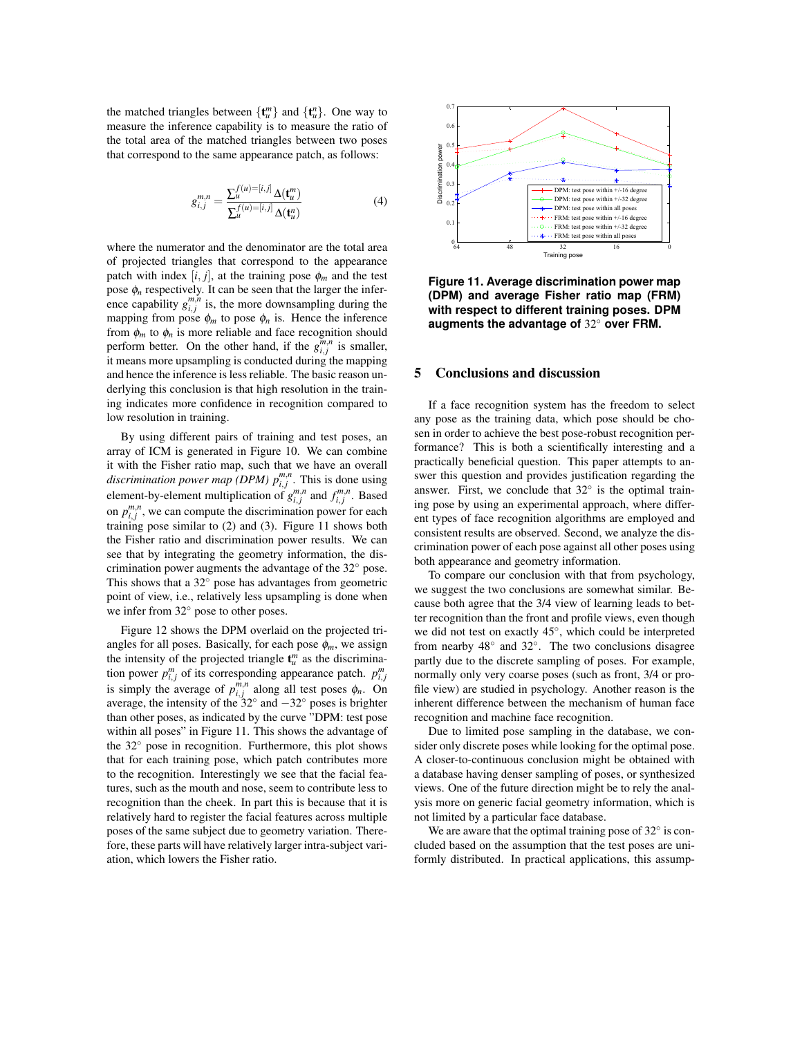the matched triangles between  $\{\mathbf t_u^m\}$  and  $\{\mathbf t_u^n\}$ . One way to measure the inference capability is to measure the ratio of the total area of the matched triangles between two poses that correspond to the same appearance patch, as follows:

$$
g_{i,j}^{m,n} = \frac{\sum_{u}^{f(u) = [i,j]} \Delta(\mathbf{t}_u^m)}{\sum_{u}^{f(u) = [i,j]} \Delta(\mathbf{t}_u^n)}
$$
(4)

where the numerator and the denominator are the total area of projected triangles that correspond to the appearance patch with index  $[i, j]$ , at the training pose  $\phi_m$  and the test pose  $\phi_n$  respectively. It can be seen that the larger the inference capability  $g_{i,j}^{m,n}$  is, the more downsampling during the mapping from pose  $\phi_m$  to pose  $\phi_n$  is. Hence the inference from  $\phi_m$  to  $\phi_n$  is more reliable and face recognition should perform better. On the other hand, if the  $g_{i,j}^{m,n}$  is smaller, it means more upsampling is conducted during the mapping and hence the inference is less reliable. The basic reason underlying this conclusion is that high resolution in the training indicates more confidence in recognition compared to low resolution in training.

By using different pairs of training and test poses, an array of ICM is generated in Figure 10. We can combine it with the Fisher ratio map, such that we have an overall *discrimination power map (DPM)*  $p_{i,j}^{m,n}$ *. This is done using* element-by-element multiplication of  $g^{m,n}_{i,j}$  and  $f^{m,n}_{i,j}$ . Based on  $p_{i,j}^{m,n}$ , we can compute the discrimination power for each training pose similar to (2) and (3). Figure 11 shows both the Fisher ratio and discrimination power results. We can see that by integrating the geometry information, the discrimination power augments the advantage of the 32◦ pose. This shows that a  $32^\circ$  pose has advantages from geometric point of view, i.e., relatively less upsampling is done when we infer from 32◦ pose to other poses.

Figure 12 shows the DPM overlaid on the projected triangles for all poses. Basically, for each pose  $\phi_m$ , we assign the intensity of the projected triangle  $\mathbf{t}_{u}^{m}$  as the discrimination power  $p_{i,j}^m$  of its corresponding appearance patch.  $p_{i,j}^m$ is simply the average of  $p_{i,j}^{m,n}$  along all test poses  $\phi_n$ . On average, the intensity of the  $32^\circ$  and  $-32^\circ$  poses is brighter than other poses, as indicated by the curve "DPM: test pose within all poses" in Figure 11. This shows the advantage of the 32◦ pose in recognition. Furthermore, this plot shows that for each training pose, which patch contributes more to the recognition. Interestingly we see that the facial features, such as the mouth and nose, seem to contribute less to recognition than the cheek. In part this is because that it is relatively hard to register the facial features across multiple poses of the same subject due to geometry variation. Therefore, these parts will have relatively larger intra-subject variation, which lowers the Fisher ratio.



**Figure 11. Average discrimination power map (DPM) and average Fisher ratio map (FRM) with respect to different training poses. DPM augments the advantage of** 32◦ **over FRM.**

# 5 Conclusions and discussion

If a face recognition system has the freedom to select any pose as the training data, which pose should be chosen in order to achieve the best pose-robust recognition performance? This is both a scientifically interesting and a practically beneficial question. This paper attempts to answer this question and provides justification regarding the answer. First, we conclude that  $32^\circ$  is the optimal training pose by using an experimental approach, where different types of face recognition algorithms are employed and consistent results are observed. Second, we analyze the discrimination power of each pose against all other poses using both appearance and geometry information.

To compare our conclusion with that from psychology, we suggest the two conclusions are somewhat similar. Because both agree that the 3/4 view of learning leads to better recognition than the front and profile views, even though we did not test on exactly 45◦, which could be interpreted from nearby 48◦ and 32◦. The two conclusions disagree partly due to the discrete sampling of poses. For example, normally only very coarse poses (such as front, 3/4 or profile view) are studied in psychology. Another reason is the inherent difference between the mechanism of human face recognition and machine face recognition.

Due to limited pose sampling in the database, we consider only discrete poses while looking for the optimal pose. A closer-to-continuous conclusion might be obtained with a database having denser sampling of poses, or synthesized views. One of the future direction might be to rely the analysis more on generic facial geometry information, which is not limited by a particular face database.

We are aware that the optimal training pose of 32◦ is concluded based on the assumption that the test poses are uniformly distributed. In practical applications, this assump-